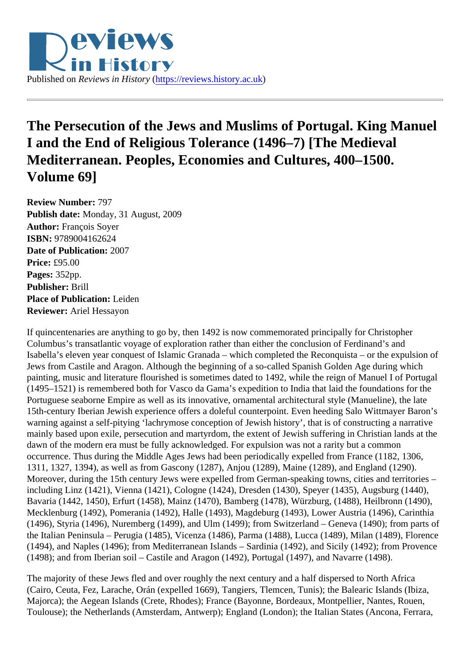

## **The Persecution of the Jews and Muslims of Portugal. King Manuel I and the End of Religious Tolerance (1496–7) [The Medieval Mediterranean. Peoples, Economies and Cultures, 400–1500. Volume 69]**

**Review Number:** 797 **Publish date:** Monday, 31 August, 2009 **Author:** François Soyer **ISBN:** 9789004162624 **Date of Publication:** 2007 **Price:** £95.00 **Pages:** 352pp. **Publisher:** Brill **Place of Publication:** Leiden **Reviewer:** Ariel Hessayon

If quincentenaries are anything to go by, then 1492 is now commemorated principally for Christopher Columbus's transatlantic voyage of exploration rather than either the conclusion of Ferdinand's and Isabella's eleven year conquest of Islamic Granada – which completed the Reconquista – or the expulsion of Jews from Castile and Aragon. Although the beginning of a so-called Spanish Golden Age during which painting, music and literature flourished is sometimes dated to 1492, while the reign of Manuel I of Portugal (1495–1521) is remembered both for Vasco da Gama's expedition to India that laid the foundations for the Portuguese seaborne Empire as well as its innovative, ornamental architectural style (Manueline), the late 15th-century Iberian Jewish experience offers a doleful counterpoint. Even heeding Salo Wittmayer Baron's warning against a self-pitying 'lachrymose conception of Jewish history', that is of constructing a narrative mainly based upon exile, persecution and martyrdom, the extent of Jewish suffering in Christian lands at the dawn of the modern era must be fully acknowledged. For expulsion was not a rarity but a common occurrence. Thus during the Middle Ages Jews had been periodically expelled from France (1182, 1306, 1311, 1327, 1394), as well as from Gascony (1287), Anjou (1289), Maine (1289), and England (1290). Moreover, during the 15th century Jews were expelled from German-speaking towns, cities and territories – including Linz (1421), Vienna (1421), Cologne (1424), Dresden (1430), Speyer (1435), Augsburg (1440), Bavaria (1442, 1450), Erfurt (1458), Mainz (1470), Bamberg (1478), Würzburg, (1488), Heilbronn (1490), Mecklenburg (1492), Pomerania (1492), Halle (1493), Magdeburg (1493), Lower Austria (1496), Carinthia (1496), Styria (1496), Nuremberg (1499), and Ulm (1499); from Switzerland – Geneva (1490); from parts of the Italian Peninsula – Perugia (1485), Vicenza (1486), Parma (1488), Lucca (1489), Milan (1489), Florence (1494), and Naples (1496); from Mediterranean Islands – Sardinia (1492), and Sicily (1492); from Provence (1498); and from Iberian soil – Castile and Aragon (1492), Portugal (1497), and Navarre (1498).

The majority of these Jews fled and over roughly the next century and a half dispersed to North Africa (Cairo, Ceuta, Fez, Larache, Orán (expelled 1669), Tangiers, Tlemcen, Tunis); the Balearic Islands (Ibiza, Majorca); the Aegean Islands (Crete, Rhodes); France (Bayonne, Bordeaux, Montpellier, Nantes, Rouen, Toulouse); the Netherlands (Amsterdam, Antwerp); England (London); the Italian States (Ancona, Ferrara,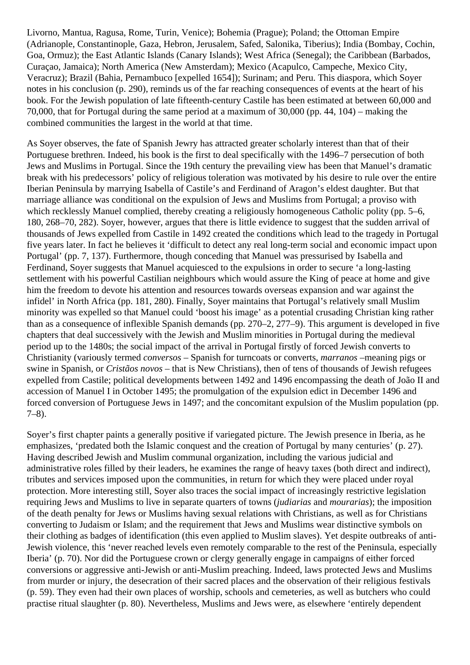Livorno, Mantua, Ragusa, Rome, Turin, Venice); Bohemia (Prague); Poland; the Ottoman Empire (Adrianople, Constantinople, Gaza, Hebron, Jerusalem, Safed, Salonika, Tiberius); India (Bombay, Cochin, Goa, Ormuz); the East Atlantic Islands (Canary Islands); West Africa (Senegal); the Caribbean (Barbados, Curaçao, Jamaica); North America (New Amsterdam); Mexico (Acapulco, Campeche, Mexico City, Veracruz); Brazil (Bahia, Pernambuco [expelled 1654]); Surinam; and Peru. This diaspora, which Soyer notes in his conclusion (p. 290), reminds us of the far reaching consequences of events at the heart of his book. For the Jewish population of late fifteenth-century Castile has been estimated at between 60,000 and 70,000, that for Portugal during the same period at a maximum of 30,000 (pp. 44, 104) – making the combined communities the largest in the world at that time.

As Soyer observes, the fate of Spanish Jewry has attracted greater scholarly interest than that of their Portuguese brethren. Indeed, his book is the first to deal specifically with the 1496–7 persecution of both Jews and Muslims in Portugal. Since the 19th century the prevailing view has been that Manuel's dramatic break with his predecessors' policy of religious toleration was motivated by his desire to rule over the entire Iberian Peninsula by marrying Isabella of Castile's and Ferdinand of Aragon's eldest daughter. But that marriage alliance was conditional on the expulsion of Jews and Muslims from Portugal; a proviso with which recklessly Manuel complied, thereby creating a religiously homogeneous Catholic polity (pp. 5–6, 180, 268–70, 282). Soyer, however, argues that there is little evidence to suggest that the sudden arrival of thousands of Jews expelled from Castile in 1492 created the conditions which lead to the tragedy in Portugal five years later. In fact he believes it 'difficult to detect any real long-term social and economic impact upon Portugal' (pp. 7, 137). Furthermore, though conceding that Manuel was pressurised by Isabella and Ferdinand, Soyer suggests that Manuel acquiesced to the expulsions in order to secure 'a long-lasting settlement with his powerful Castilian neighbours which would assure the King of peace at home and give him the freedom to devote his attention and resources towards overseas expansion and war against the infidel' in North Africa (pp. 181, 280). Finally, Soyer maintains that Portugal's relatively small Muslim minority was expelled so that Manuel could 'boost his image' as a potential crusading Christian king rather than as a consequence of inflexible Spanish demands (pp. 270–2, 277–9). This argument is developed in five chapters that deal successively with the Jewish and Muslim minorities in Portugal during the medieval period up to the 1480s; the social impact of the arrival in Portugal firstly of forced Jewish converts to Christianity (variously termed *conversos* – Spanish for turncoats or converts, *marranos* –meaning pigs or swine in Spanish, or *Cristãos novos* – that is New Christians), then of tens of thousands of Jewish refugees expelled from Castile; political developments between 1492 and 1496 encompassing the death of João II and accession of Manuel I in October 1495; the promulgation of the expulsion edict in December 1496 and forced conversion of Portuguese Jews in 1497; and the concomitant expulsion of the Muslim population (pp. 7–8).

Soyer's first chapter paints a generally positive if variegated picture. The Jewish presence in Iberia, as he emphasizes, 'predated both the Islamic conquest and the creation of Portugal by many centuries' (p. 27). Having described Jewish and Muslim communal organization, including the various judicial and administrative roles filled by their leaders, he examines the range of heavy taxes (both direct and indirect), tributes and services imposed upon the communities, in return for which they were placed under royal protection. More interesting still, Soyer also traces the social impact of increasingly restrictive legislation requiring Jews and Muslims to live in separate quarters of towns (*judiarias* and *mourarias*); the imposition of the death penalty for Jews or Muslims having sexual relations with Christians, as well as for Christians converting to Judaism or Islam; and the requirement that Jews and Muslims wear distinctive symbols on their clothing as badges of identification (this even applied to Muslim slaves). Yet despite outbreaks of anti-Jewish violence, this 'never reached levels even remotely comparable to the rest of the Peninsula, especially Iberia' (p. 70). Nor did the Portuguese crown or clergy generally engage in campaigns of either forced conversions or aggressive anti-Jewish or anti-Muslim preaching. Indeed, laws protected Jews and Muslims from murder or injury, the desecration of their sacred places and the observation of their religious festivals (p. 59). They even had their own places of worship, schools and cemeteries, as well as butchers who could practise ritual slaughter (p. 80). Nevertheless, Muslims and Jews were, as elsewhere 'entirely dependent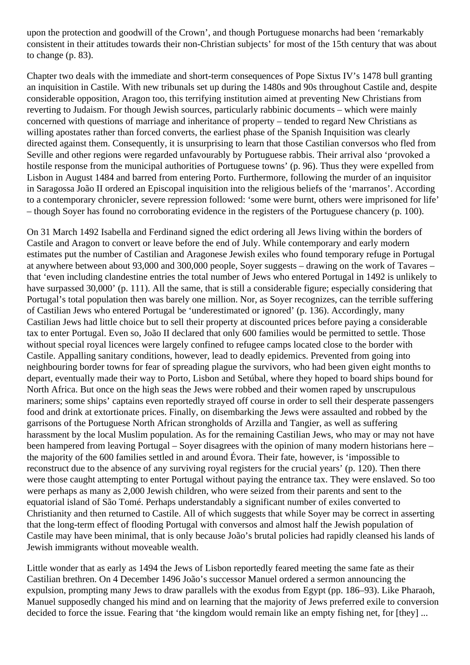upon the protection and goodwill of the Crown', and though Portuguese monarchs had been 'remarkably consistent in their attitudes towards their non-Christian subjects' for most of the 15th century that was about to change (p. 83).

Chapter two deals with the immediate and short-term consequences of Pope Sixtus IV's 1478 bull granting an inquisition in Castile. With new tribunals set up during the 1480s and 90s throughout Castile and, despite considerable opposition, Aragon too, this terrifying institution aimed at preventing New Christians from reverting to Judaism. For though Jewish sources, particularly rabbinic documents – which were mainly concerned with questions of marriage and inheritance of property – tended to regard New Christians as willing apostates rather than forced converts, the earliest phase of the Spanish Inquisition was clearly directed against them. Consequently, it is unsurprising to learn that those Castilian conversos who fled from Seville and other regions were regarded unfavourably by Portuguese rabbis. Their arrival also 'provoked a hostile response from the municipal authorities of Portuguese towns' (p. 96). Thus they were expelled from Lisbon in August 1484 and barred from entering Porto. Furthermore, following the murder of an inquisitor in Saragossa João II ordered an Episcopal inquisition into the religious beliefs of the 'marranos'. According to a contemporary chronicler, severe repression followed: 'some were burnt, others were imprisoned for life' – though Soyer has found no corroborating evidence in the registers of the Portuguese chancery (p. 100).

On 31 March 1492 Isabella and Ferdinand signed the edict ordering all Jews living within the borders of Castile and Aragon to convert or leave before the end of July. While contemporary and early modern estimates put the number of Castilian and Aragonese Jewish exiles who found temporary refuge in Portugal at anywhere between about 93,000 and 300,000 people, Soyer suggests – drawing on the work of Tavares – that 'even including clandestine entries the total number of Jews who entered Portugal in 1492 is unlikely to have surpassed 30,000' (p. 111). All the same, that is still a considerable figure; especially considering that Portugal's total population then was barely one million. Nor, as Soyer recognizes, can the terrible suffering of Castilian Jews who entered Portugal be 'underestimated or ignored' (p. 136). Accordingly, many Castilian Jews had little choice but to sell their property at discounted prices before paying a considerable tax to enter Portugal. Even so, João II declared that only 600 families would be permitted to settle. Those without special royal licences were largely confined to refugee camps located close to the border with Castile. Appalling sanitary conditions, however, lead to deadly epidemics. Prevented from going into neighbouring border towns for fear of spreading plague the survivors, who had been given eight months to depart, eventually made their way to Porto, Lisbon and Setúbal, where they hoped to board ships bound for North Africa. But once on the high seas the Jews were robbed and their women raped by unscrupulous mariners; some ships' captains even reportedly strayed off course in order to sell their desperate passengers food and drink at extortionate prices. Finally, on disembarking the Jews were assaulted and robbed by the garrisons of the Portuguese North African strongholds of Arzilla and Tangier, as well as suffering harassment by the local Muslim population. As for the remaining Castilian Jews, who may or may not have been hampered from leaving Portugal – Soyer disagrees with the opinion of many modern historians here – the majority of the 600 families settled in and around Évora. Their fate, however, is 'impossible to reconstruct due to the absence of any surviving royal registers for the crucial years' (p. 120). Then there were those caught attempting to enter Portugal without paying the entrance tax. They were enslaved. So too were perhaps as many as 2,000 Jewish children, who were seized from their parents and sent to the equatorial island of São Tomé. Perhaps understandably a significant number of exiles converted to Christianity and then returned to Castile. All of which suggests that while Soyer may be correct in asserting that the long-term effect of flooding Portugal with conversos and almost half the Jewish population of Castile may have been minimal, that is only because João's brutal policies had rapidly cleansed his lands of Jewish immigrants without moveable wealth.

Little wonder that as early as 1494 the Jews of Lisbon reportedly feared meeting the same fate as their Castilian brethren. On 4 December 1496 João's successor Manuel ordered a sermon announcing the expulsion, prompting many Jews to draw parallels with the exodus from Egypt (pp. 186–93). Like Pharaoh, Manuel supposedly changed his mind and on learning that the majority of Jews preferred exile to conversion decided to force the issue. Fearing that 'the kingdom would remain like an empty fishing net, for [they] ...